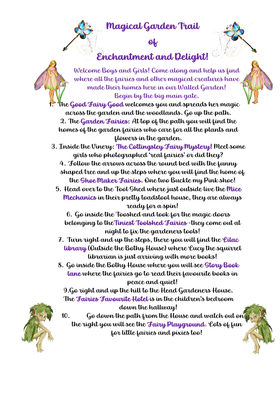## Magical Garden Trail

of



## Enchantment and Delight!



Welcome Boys and Girls! Come along and help us find where all the fairies and other magical creatures have made their homes here in our Walled Garden! Begin by the big main gate.

1. The Good Fairy Good welcomes you and spreads her magic across the garden and the woodlands. Go up the path. 2. The Garden Fairies: At top of the path you will find the homes of the garden fairies who care for all the plants and flowers in the garden.

3. Inside the Vinery: The Cottingsley Fairy Mystery! Meet some girls who photographed 'real fairies' or did they?

4. Follow the arrows across the round bed with the funny shaped tree and up the steps where you will find the home of the Shoe Maker Fairies. One two Buckle my Pink shoe!

5. Head over to the Tool Shed where just outside live the Mice Mechanics in their pretty toadstool house, they are always ready for a spin!

6. Go inside the Tooshed and look for the magic doors belonging to theTiniest Toolshed Fairies -they come out at night to fix the gardeners tools!

- 7. Turn right and up the steps, there you will find the  $\ell$ ilac library (Outside the Bothy House) where Lucy the squirrel librarian is just arriving with more books!
- 8. Go inside the Bothy House where you will see Story Book lane where the fairies go to read their favourite books in peace and quiet!

9.Go right and up the hill to the Head Gardeners House. The Fairies Favourite Hotel is in the children's bedroom

## down the hallway!



10. Go down the path from the House and watch out on the right you will see the Fairy Playground. Lots of fun for little fairies and pixies too!